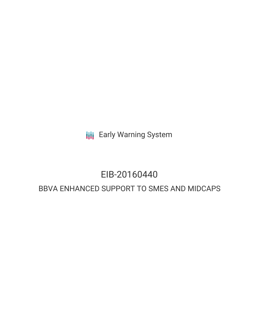**III** Early Warning System

# EIB-20160440

# BBVA ENHANCED SUPPORT TO SMES AND MIDCAPS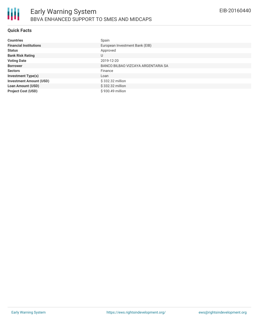

# **Quick Facts**

| <b>Countries</b>               | Spain                              |
|--------------------------------|------------------------------------|
| <b>Financial Institutions</b>  | European Investment Bank (EIB)     |
| <b>Status</b>                  | Approved                           |
| <b>Bank Risk Rating</b>        | U                                  |
| <b>Voting Date</b>             | 2019-12-20                         |
| <b>Borrower</b>                | BANCO BILBAO VIZCAYA ARGENTARIA SA |
| <b>Sectors</b>                 | Finance                            |
| <b>Investment Type(s)</b>      | Loan                               |
| <b>Investment Amount (USD)</b> | \$332.32 million                   |
| <b>Loan Amount (USD)</b>       | \$332.32 million                   |
| <b>Project Cost (USD)</b>      | \$930.49 million                   |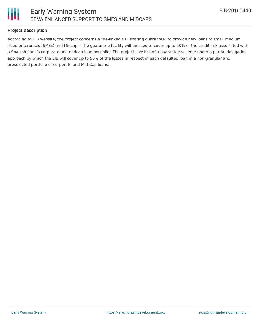

# **Project Description**

According to EIB website, the project concerns a "de-linked risk sharing guarantee" to provide new loans to small medium sized enterprises (SMEs) and Midcaps. The guarantee facility will be used to cover up to 50% of the credit risk associated with a Spanish bank's corporate and midcap loan portfolios.The project consists of a guarantee scheme under a partial delegation approach by which the EIB will cover up to 50% of the losses in respect of each defaulted loan of a non-granular and preselected portfolio of corporate and Mid-Cap loans.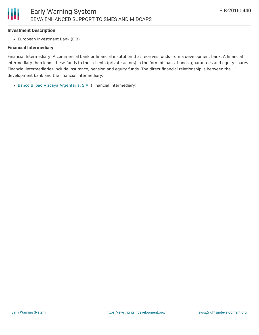#### **Investment Description**

European Investment Bank (EIB)

### **Financial Intermediary**

Financial Intermediary: A commercial bank or financial institution that receives funds from a development bank. A financial intermediary then lends these funds to their clients (private actors) in the form of loans, bonds, guarantees and equity shares. Financial intermediaries include insurance, pension and equity funds. The direct financial relationship is between the development bank and the financial intermediary.

Banco Bilbao Vizcaya [Argentaria,](file:///actor/1096/) S.A. (Financial Intermediary)